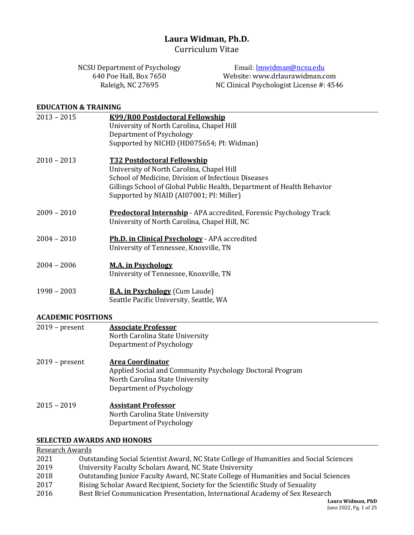# Laura Widman, Ph.D.

Curriculum Vitae

NCSU Department of Psychology 640 Poe Hall, Box 7650 Raleigh, NC 27695 Email: lmwidman@ncsu.edu Website: www.drlaurawidman.com NC Clinical Psychologist License #: 4546

#### **EDUCATION & TRAINING**

| 2013 - 2015   | K99/R00 Postdoctoral Fellowship                                                                                            |
|---------------|----------------------------------------------------------------------------------------------------------------------------|
|               | University of North Carolina, Chapel Hill                                                                                  |
|               | Department of Psychology                                                                                                   |
|               | Supported by NICHD (HD075654; PI: Widman)                                                                                  |
| 2010 - 2013   | <b>T32 Postdoctoral Fellowship</b>                                                                                         |
|               | University of North Carolina, Chapel Hill                                                                                  |
|               | School of Medicine, Division of Infectious Diseases                                                                        |
|               | Gillings School of Global Public Health, Department of Health Behavior                                                     |
|               | Supported by NIAID (AI07001; PI: Miller)                                                                                   |
| 2009 - 2010   | <b>Predoctoral Internship</b> - APA accredited, Forensic Psychology Track<br>University of North Carolina, Chapel Hill, NC |
| $2004 - 2010$ | <b>Ph.D. in Clinical Psychology</b> - APA accredited                                                                       |
|               | University of Tennessee, Knoxville, TN                                                                                     |
| 2004 - 2006   | <b>M.A. in Psychology</b>                                                                                                  |
|               | University of Tennessee, Knoxville, TN                                                                                     |
| $1998 - 2003$ | <b>B.A. in Psychology</b> (Cum Laude)                                                                                      |

#### **ACADEMIC POSITIONS**

| $2019$ – present | <b>Associate Professor</b><br>North Carolina State University<br>Department of Psychology                                                          |
|------------------|----------------------------------------------------------------------------------------------------------------------------------------------------|
| $2019$ – present | <b>Area Coordinator</b><br>Applied Social and Community Psychology Doctoral Program<br>North Carolina State University<br>Department of Psychology |
| $2015 - 2019$    | <b>Assistant Professor</b><br>North Carolina State University<br>Department of Psychology                                                          |

Seattle Pacific University, Seattle, WA

#### **SELECTED AWARDS AND HONORS**

# Research Awards

| 2021 | Outstanding Social Scientist Award, NC State College of Humanities and Social Sciences |
|------|----------------------------------------------------------------------------------------|
| 2019 | University Faculty Scholars Award, NC State University                                 |
| 2018 | Outstanding Junior Faculty Award, NC State College of Humanities and Social Sciences   |
| 2017 | Rising Scholar Award Recipient, Society for the Scientific Study of Sexuality          |
| 2016 | Best Brief Communication Presentation, International Academy of Sex Research           |
|      | aura Widman)                                                                           |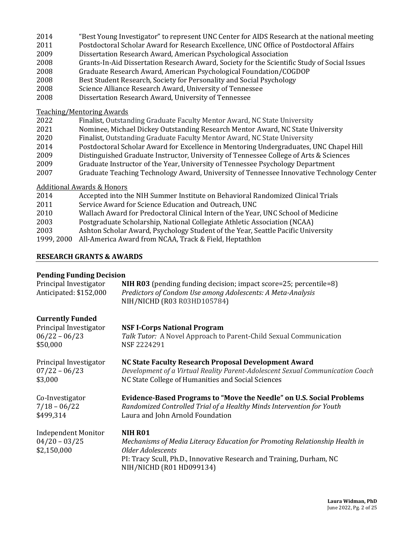| 2014 |  |  |  | "Best Young Investigator" to represent UNC Center for AIDS Research at the national meeting |  |
|------|--|--|--|---------------------------------------------------------------------------------------------|--|
|------|--|--|--|---------------------------------------------------------------------------------------------|--|

- 2011 Postdoctoral Scholar Award for Research Excellence, UNC Office of Postdoctoral Affairs
- 2009 Dissertation Research Award, American Psychological Association
- 2008 Grants-In-Aid Dissertation Research Award, Society for the Scientific Study of Social Issues
- 2008 Graduate Research Award, American Psychological Foundation/COGDOP
- 2008 Best Student Research, Society for Personality and Social Psychology
- 2008 Science Alliance Research Award, University of Tennessee
- 2008 Dissertation Research Award, University of Tennessee

Teaching/Mentoring Awards

- 2022 Finalist, Outstanding Graduate Faculty Mentor Award, NC State University
- 2021 Nominee, Michael Dickey Outstanding Research Mentor Award, NC State University
- 2020 Finalist, Outstanding Graduate Faculty Mentor Award, NC State University
- 2014 Postdoctoral Scholar Award for Excellence in Mentoring Undergraduates, UNC Chapel Hill
- 2009 Distinguished Graduate Instructor, University of Tennessee College of Arts & Sciences
- 2009 Graduate Instructor of the Year, University of Tennessee Psychology Department
- 2007 Graduate Teaching Technology Award, University of Tennessee Innovative Technology Center

# Additional Awards & Honors

| 2014       | Accepted into the NIH Summer Institute on Behavioral Randomized Clinical Trials   |
|------------|-----------------------------------------------------------------------------------|
| 2011       | Service Award for Science Education and Outreach, UNC                             |
| 2010       | Wallach Award for Predoctoral Clinical Intern of the Year, UNC School of Medicine |
| 2003       | Postgraduate Scholarship, National Collegiate Athletic Association (NCAA)         |
| 2003       | Ashton Scholar Award, Psychology Student of the Year, Seattle Pacific University  |
| 1999, 2000 | All-America Award from NCAA, Track & Field, Heptathlon                            |

# **RESEARCH GRANTS & AWARDS**

# **Pending Funding Decision**

| Principal Investigator<br>Anticipated: \$152,000             | <b>NIH R03</b> (pending funding decision; impact score=25; percentile=8)<br>Predictors of Condom Use among Adolescents: A Meta-Analysis<br>NIH/NICHD (R03 R03HD105784)                                                 |
|--------------------------------------------------------------|------------------------------------------------------------------------------------------------------------------------------------------------------------------------------------------------------------------------|
| <b>Currently Funded</b>                                      |                                                                                                                                                                                                                        |
| Principal Investigator                                       | <b>NSF I-Corps National Program</b>                                                                                                                                                                                    |
| $06/22 - 06/23$                                              | Talk Tutor: A Novel Approach to Parent-Child Sexual Communication                                                                                                                                                      |
| \$50,000                                                     | NSF 2224291                                                                                                                                                                                                            |
| Principal Investigator                                       | NC State Faculty Research Proposal Development Award                                                                                                                                                                   |
| $07/22 - 06/23$                                              | Development of a Virtual Reality Parent-Adolescent Sexual Communication Coach                                                                                                                                          |
| \$3,000                                                      | NC State College of Humanities and Social Sciences                                                                                                                                                                     |
| Co-Investigator                                              | Evidence-Based Programs to "Move the Needle" on U.S. Social Problems                                                                                                                                                   |
| $7/18 - 06/22$                                               | Randomized Controlled Trial of a Healthy Minds Intervention for Youth                                                                                                                                                  |
| \$499,314                                                    | Laura and John Arnold Foundation                                                                                                                                                                                       |
| <b>Independent Monitor</b><br>$04/20 - 03/25$<br>\$2,150,000 | NIH RO1<br>Mechanisms of Media Literacy Education for Promoting Relationship Health in<br><b>Older Adolescents</b><br>PI: Tracy Scull, Ph.D., Innovative Research and Training, Durham, NC<br>NIH/NICHD (R01 HD099134) |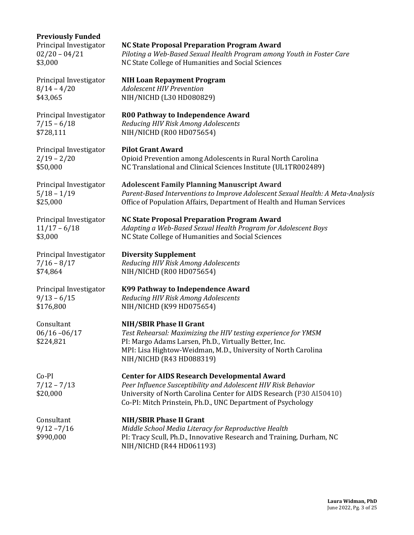## **Previously Funded**

Principal Investigator **Pilot Grant Award**

**Principal Investigator Diversity Supplement** 

\$176,800 NIH/NICHD (K99 HD075654)

# Principal Investigator **NC State Proposal Preparation Program Award**

02/20 – 04/21 *Piloting a Web-Based Sexual Health Program among Youth in Foster Care* \$3,000 NC State College of Humanities and Social Sciences

**Principal Investigator NIH Loan Repayment Program** 8/14 – 4/20 *Adolescent HIV Prevention* \$43,065 NIH/NICHD (L30 HD080829)

Principal Investigator **R00 Pathway to Independence Award** 7/15 – 6/18 *Reducing HIV Risk Among Adolescents* \$728,111 NIH/NICHD (R00 HD075654)

2/19 – 2/20 Opioid Prevention among Adolescents in Rural North Carolina \$50,000 NC Translational and Clinical Sciences Institute (UL1TR002489)

Principal Investigator **Adolescent Family Planning Manuscript Award** 5/18 - 1/19 *Parent-Based Interventions to Improve Adolescent Sexual Health: A Meta-Analysis* \$25,000 Office of Population Affairs, Department of Health and Human Services

Principal Investigator NC State Proposal Preparation Program Award 11/17 – 6/18 *Adapting a Web-Based Sexual Health Program for Adolescent Boys* \$3,000 NC State College of Humanities and Social Sciences

7/16 – 8/17 *Reducing HIV Risk Among Adolescents* \$74,864 NIH/NICHD (R00 HD075654)

Principal Investigator **K99 Pathway to Independence Award** 9/13 – 6/15 *Reducing HIV Risk Among Adolescents*

**Consultant NIH/SBIR Phase II Grant** 06/16 -06/17 *Test Rehearsal: Maximizing the HIV testing experience for YMSM* \$224,821 PI: Margo Adams Larsen, Ph.D., Virtually Better, Inc. MPI: Lisa Hightow-Weidman, M.D., University of North Carolina NIH/NICHD (R43 HD088319)

Co-PI **Center for AIDS Research Developmental Award** 7/12 - 7/13 *Peer Influence Susceptibility and Adolescent HIV Risk Behavior* \$20,000 University of North Carolina Center for AIDS Research (P30 AI50410) Co-PI: Mitch Prinstein, Ph.D., UNC Department of Psychology

Consultant **NIH/SBIR Phase II Grant** 9/12 -7/16 *Middle School Media Literacy for Reproductive Health* \$990,000 PI: Tracy Scull, Ph.D., Innovative Research and Training, Durham, NC NIH/NICHD (R44 HD061193)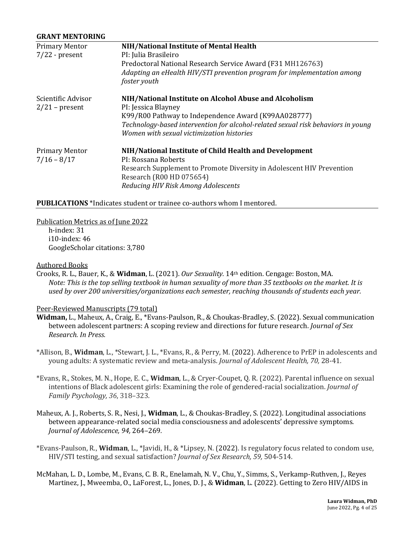#### **GRANT MENTORING**

| <b>Primary Mentor</b> | NIH/National Institute of Mental Health                                          |
|-----------------------|----------------------------------------------------------------------------------|
| $7/22$ - present      | PI: Julia Brasileiro                                                             |
|                       | Predoctoral National Research Service Award (F31 MH126763)                       |
|                       | Adapting an eHealth HIV/STI prevention program for implementation among          |
|                       | foster youth                                                                     |
| Scientific Advisor    | NIH/National Institute on Alcohol Abuse and Alcoholism                           |
| $2/21$ – present      | PI: Jessica Blayney                                                              |
|                       | K99/R00 Pathway to Independence Award (K99AA028777)                              |
|                       | Technology-based intervention for alcohol-related sexual risk behaviors in young |
|                       | Women with sexual victimization histories                                        |
| <b>Primary Mentor</b> | NIH/National Institute of Child Health and Development                           |
| $7/16 - 8/17$         | PI: Rossana Roberts                                                              |
|                       | Research Supplement to Promote Diversity in Adolescent HIV Prevention            |
|                       | Research (R00 HD 075654)                                                         |
|                       | Reducing HIV Risk Among Adolescents                                              |

#### **PUBLICATIONS** \*Indicates student or trainee co-authors whom I mentored.

Publication Metrics as of June 2022

h-index: 31 i10-index: 46 GoogleScholar citations: 3,780

#### Authored Books

Crooks, R. L., Bauer, K., & **Widman**, L. (2021). *Our Sexuality.* 14th edition. Cengage: Boston, MA. *Note: This is the top selling textbook in human sexuality of more than 35 textbooks on the market. It is used by over 200 universities/organizations each semester, reaching thousands of students each year.*

## Peer-Reviewed Manuscripts (79 total)

- **Widman,** L., Maheux, A., Craig, E., \*Evans-Paulson, R., & Choukas-Bradley, S. (2022). Sexual communication between adolescent partners: A scoping review and directions for future research. *Journal of Sex Research. In Press.*
- \*Allison, B., Widman, L., \*Stewart, J. L., \*Evans, R., & Perry, M. (2022). Adherence to PrEP in adolescents and young adults: A systematic review and meta-analysis. *Journal of Adolescent Health, 70, 28-41.*
- \*Evans, R., Stokes, M. N., Hope, E. C., Widman, L., & Cryer-Coupet, Q. R. (2022). Parental influence on sexual intentions of Black adolescent girls: Examining the role of gendered-racial socialization. *Journal of Family Psychology, 36*, 318–323*.*
- Maheux, A. J., Roberts, S. R., Nesi, J., Widman, L., & Choukas-Bradley, S. (2022). Longitudinal associations between appearance-related social media consciousness and adolescents' depressive symptoms. *Journal of Adolescence, 94,* 264–269*.*
- \*Evans-Paulson, R., **Widman**, L., \*Javidi, H., & \*Lipsey, N. (2022). Is regulatory focus related to condom use, HIV/STI testing, and sexual satisfaction? *Journal of Sex Research,* 59, 504-514.
- McMahan, L. D., Lombe, M., Evans, C. B. R., Enelamah, N. V., Chu, Y., Simms, S., Verkamp-Ruthven, J., Reyes Martinez, J., Mweemba, O., LaForest, L., Jones, D. J., & Widman, L. (2022). Getting to Zero HIV/AIDS in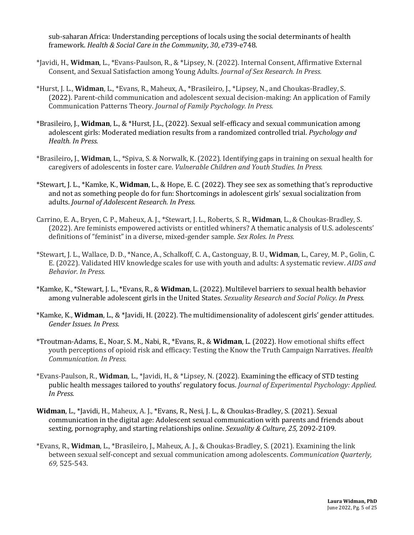sub-saharan Africa: Understanding perceptions of locals using the social determinants of health framework. *Health & Social Care in the Community*, 30, e739-e748.

- \*Javidi, H., Widman, L., \*Evans-Paulson, R., & \*Lipsey, N. (2022). Internal Consent, Affirmative External Consent, and Sexual Satisfaction among Young Adults. *Journal of Sex Research. In Press.*
- \*Hurst, J. L., **Widman**, L., \*Evans, R., Maheux, A., \*Brasileiro, J., \*Lipsey, N., and Choukas-Bradley, S. (2022). Parent-child communication and adolescent sexual decision-making: An application of Family Communication Patterns Theory. *Journal of Family Psychology. In Press.*
- \*Brasileiro, J., **Widman**, L., & \*Hurst, J.L., (2022). Sexual self-efficacy and sexual communication among adolescent girls: Moderated mediation results from a randomized controlled trial. *Psychology and Health. In Press.*
- \*Brasileiro, J., **Widman**, L., \*Spiva, S. & Norwalk, K. (2022). Identifying gaps in training on sexual health for caregivers of adolescents in foster care. *Vulnerable Children and Youth Studies. In Press.*
- \*Stewart, J. L., \*Kamke, K., **Widman**, L., & Hope, E. C. (2022). They see sex as something that's reproductive and not as something people do for fun: Shortcomings in adolescent girls' sexual socialization from adults. *Journal of Adolescent Research. In Press.*
- Carrino, E. A., Bryen, C. P., Maheux, A. J., \*Stewart, J. L., Roberts, S. R., Widman, L., & Choukas-Bradley, S. (2022). Are feminists empowered activists or entitled whiners? A thematic analysis of U.S. adolescents' definitions of "feminist" in a diverse, mixed-gender sample. *Sex Roles. In Press.*
- \*Stewart, J. L., Wallace, D. D., \*Nance, A., Schalkoff, C. A., Castonguay, B. U., **Widman**, L., Carey, M. P., Golin, C. E. (2022). Validated HIV knowledge scales for use with youth and adults: A systematic review. *AIDS* and *Behavior. In Press.*
- \*Kamke, K., \*Stewart, J. L., \*Evans, R., & Widman, L. (2022). Multilevel barriers to sexual health behavior among vulnerable adolescent girls in the United States. *Sexuality Research and Social Policy. In Press.*
- \*Kamke, K., **Widman**, L., & \*Javidi, H. (2022). The multidimensionality of adolescent girls' gender attitudes. *Gender Issues. In Press.*
- \*Troutman-Adams, E., Noar, S. M., Nabi, R., \*Evans, R., & Widman, L. (2022). How emotional shifts effect youth perceptions of opioid risk and efficacy: Testing the Know the Truth Campaign Narratives. *Health Communication. In Press.*
- \*Evans-Paulson, R., **Widman**, L., \*Javidi, H., & \*Lipsey, N. (2022). Examining the efficacy of STD testing public health messages tailored to youths' regulatory focus. *Journal of Experimental Psychology: Applied. In Press.*
- Widman, L., \*Javidi, H., Maheux, A. J., \*Evans, R., Nesi, J. L., & Choukas-Bradley, S. (2021). Sexual communication in the digital age: Adolescent sexual communication with parents and friends about sexting, pornography, and starting relationships online. *Sexuality & Culture, 25, 2092-2109.*
- \*Evans, R., **Widman**, L., \*Brasileiro, J., Maheux, A. J., & Choukas-Bradley, S. (2021). Examining the link between sexual self-concept and sexual communication among adolescents. *Communication Quarterly*, *69,* 525-543*.*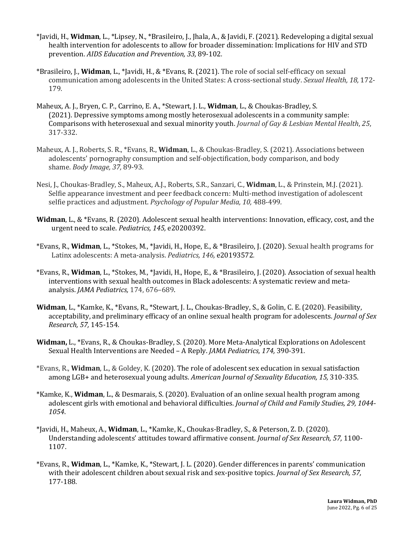- \*Javidi, H., **Widman**, L., \*Lipsey, N., \*Brasileiro, J., Jhala, A., & Javidi, F. (2021). Redeveloping a digital sexual health intervention for adolescents to allow for broader dissemination: Implications for HIV and STD prevention. *AIDS Education and Prevention, 33,* 89-102*.*
- \*Brasileiro, J., **Widman**, L., \*Javidi, H., & \*Evans, R. (2021). The role of social self-efficacy on sexual communication among adolescents in the United States: A cross-sectional study. *Sexual Health, 18, 172-*179*.*
- Maheux, A. J., Bryen, C. P., Carrino, E. A., \*Stewart, J. L., Widman, L., & Choukas-Bradley, S. (2021). Depressive symptoms among mostly heterosexual adolescents in a community sample: Comparisons with heterosexual and sexual minority youth. *Journal of Gay & Lesbian Mental Health*, 25, 317-332.
- Maheux, A. J., Roberts, S. R., \*Evans, R., Widman, L., & Choukas-Bradley, S. (2021). Associations between adolescents' pornography consumption and self-objectification, body comparison, and body shame. *Body Image, 37,* 89-93.
- Nesi, J., Choukas-Bradley, S., Maheux, A.J., Roberts, S.R., Sanzari, C., Widman, L., & Prinstein, M.J. (2021). Selfie appearance investment and peer feedback concern: Multi-method investigation of adolescent selfie practices and adjustment. *Psychology of Popular Media, 10,* 488-499.
- **Widman**, L., & \*Evans, R. (2020). Adolescent sexual health interventions: Innovation, efficacy, cost, and the urgent need to scale. *Pediatrics*, 145, e20200392.
- \*Evans, R., **Widman**, L., \*Stokes, M., \*Javidi, H., Hope, E., & \*Brasileiro, J. (2020). Sexual health programs for Latinx adolescents: A meta-analysis. *Pediatrics*, 146, e20193572.
- \*Evans, R., **Widman**, L., \*Stokes, M., \*Javidi, H., Hope, E., & \*Brasileiro, J. (2020). Association of sexual health interventions with sexual health outcomes in Black adolescents: A systematic review and metaanalysis. *JAMA Pediatrics*, 174, 676-689.
- **Widman**, L., \*Kamke, K., \*Evans, R., \*Stewart, J. L., Choukas-Bradley, S., & Golin, C. E. (2020). Feasibility, acceptability, and preliminary efficacy of an online sexual health program for adolescents. *Journal of Sex Research, 57,* 145-154*.*
- Widman, L., \*Evans, R., & Choukas-Bradley, S. (2020). More Meta-Analytical Explorations on Adolescent Sexual Health Interventions are Needed - A Reply. *JAMA Pediatrics, 174, 390-391.*
- \*Evans, R., Widman, L., & Goldey, K. (2020). The role of adolescent sex education in sexual satisfaction among LGB+ and heterosexual young adults. American Journal of Sexuality Education, 15, 310-335.
- \*Kamke, K., **Widman**, L., & Desmarais, S. (2020). Evaluation of an online sexual health program among adolescent girls with emotional and behavioral difficulties. *Journal of Child and Family Studies, 29, 1044-1054*.
- \*Javidi, H., Maheux, A., **Widman**, L., \*Kamke, K., Choukas-Bradley, S., & Peterson, Z. D. (2020). Understanding adolescents' attitudes toward affirmative consent. *Journal of Sex Research*, 57, 1100-1107.
- \*Evans, R., Widman, L., \*Kamke, K., \*Stewart, J. L. (2020). Gender differences in parents' communication with their adolescent children about sexual risk and sex-positive topics. *Journal of Sex Research*, 57, 177-188*.*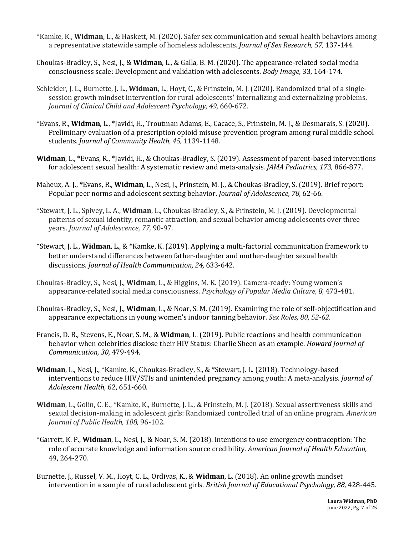- \*Kamke, K., Widman, L., & Haskett, M. (2020). Safer sex communication and sexual health behaviors among a representative statewide sample of homeless adolescents. *Journal of Sex Research, 57, 137-144.*
- Choukas-Bradley, S., Nesi, J., & Widman, L., & Galla, B. M. (2020). The appearance-related social media consciousness scale: Development and validation with adolescents. *Body Image,* 33, 164-174.
- Schleider, J. L., Burnette, J. L., **Widman**, L., Hoyt, C., & Prinstein, M. J. (2020). Randomized trial of a singlesession growth mindset intervention for rural adolescents' internalizing and externalizing problems. *Journal of Clinical Child and Adolescent Psychology, 49, 660-672.*
- \*Evans, R., **Widman**, L., \*Javidi, H., Troutman Adams, E., Cacace, S., Prinstein, M. J., & Desmarais, S. (2020). Preliminary evaluation of a prescription opioid misuse prevention program among rural middle school students. *Journal of Community Health*, 45, 1139-1148.
- **Widman**, L., \*Evans, R., \*Javidi, H., & Choukas-Bradley, S. (2019). Assessment of parent-based interventions for adolescent sexual health: A systematic review and meta-analysis. *JAMA Pediatrics, 173, 866-877*.
- Maheux, A. J., \*Evans, R., **Widman**, L., Nesi, J., Prinstein, M. J., & Choukas-Bradley, S. (2019). Brief report: Popular peer norms and adolescent sexting behavior. *Journal of Adolescence*, 78, 62-66.
- \*Stewart, J. L., Spivey, L. A., **Widman**, L., Choukas-Bradley, S., & Prinstein, M. J. (2019). Developmental patterns of sexual identity, romantic attraction, and sexual behavior among adolescents over three years. *Journal of Adolescence, 77,* 90-97*.*
- \*Stewart, J. L., **Widman**, L., & \*Kamke, K. (2019). Applying a multi-factorial communication framework to better understand differences between father-daughter and mother-daughter sexual health discussions. *Journal of Health Communication, 24,* 633-642*.*
- Choukas-Bradley, S., Nesi, J., **Widman**, L., & Higgins, M. K. (2019). Camera-ready: Young women's appearance-related social media consciousness. *Psychology of Popular Media Culture, 8, 473-481.*
- Choukas-Bradley, S., Nesi, J., Widman, L., & Noar, S. M. (2019). Examining the role of self-objectification and appearance expectations in young women's indoor tanning behavior. *Sex Roles, 80, 52-62.*
- Francis, D. B., Stevens, E., Noar, S. M., & Widman, L. (2019). Public reactions and health communication behavior when celebrities disclose their HIV Status: Charlie Sheen as an example. *Howard Journal of Communication, 30,* 479-494.
- Widman, L., Nesi, J., \*Kamke, K., Choukas-Bradley, S., & \*Stewart, J. L. (2018). Technology-based interventions to reduce HIV/STIs and unintended pregnancy among youth: A meta-analysis. *Journal of Adolescent Health,* 62, 651-660*.*
- Widman, L., Golin, C. E., \*Kamke, K., Burnette, J. L., & Prinstein, M. J. (2018). Sexual assertiveness skills and sexual decision-making in adolescent girls: Randomized controlled trial of an online program. *American Journal of Public Health, 108,* 96-102.
- \*Garrett, K. P., **Widman**, L., Nesi, J., & Noar, S. M. (2018). Intentions to use emergency contraception: The role of accurate knowledge and information source credibility. *American Journal of Health Education*, 49, 264-270.
- Burnette, J., Russel, V. M., Hoyt, C. L., Ordivas, K., & **Widman**, L. (2018). An online growth mindset intervention in a sample of rural adolescent girls. *British Journal of Educational Psychology, 88, 428-445.*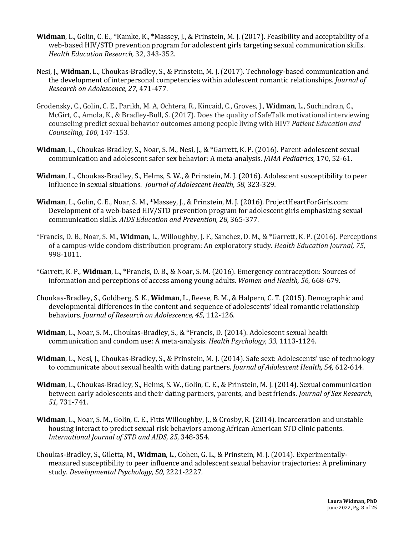- **Widman**, L., Golin, C. E., \*Kamke, K., \*Massey, J., & Prinstein, M. J. (2017). Feasibility and acceptability of a web-based HIV/STD prevention program for adolescent girls targeting sexual communication skills. *Health Education Research,* 32, 343-352*.*
- Nesi, J., Widman, L., Choukas-Bradley, S., & Prinstein, M. J. (2017). Technology-based communication and the development of interpersonal competencies within adolescent romantic relationships. *Journal of Research on Adolescence, 27,* 471-477.
- Grodensky, C., Golin, C. E., Parikh, M. A, Ochtera, R., Kincaid, C., Groves, J., Widman, L., Suchindran, C., McGirt, C., Amola, K., & Bradley-Bull, S. (2017). Does the quality of SafeTalk motivational interviewing counseling predict sexual behavior outcomes among people living with HIV? *Patient Education and Counseling, 100,* 147-153*.*
- **Widman**, L., Choukas-Bradley, S., Noar, S. M., Nesi, J., & \*Garrett, K. P. (2016). Parent-adolescent sexual communication and adolescent safer sex behavior: A meta-analysis. *JAMA Pediatrics*, 170, 52-61.
- **Widman**, L., Choukas-Bradley, S., Helms, S. W., & Prinstein, M. J. (2016). Adolescent susceptibility to peer influence in sexual situations. *Journal of Adolescent Health, 58, 323-329.*
- **Widman**, L., Golin, C. E., Noar, S. M., \*Massey, J., & Prinstein, M. J. (2016). ProjectHeartForGirls.com: Development of a web-based HIV/STD prevention program for adolescent girls emphasizing sexual communication skills. *AIDS Education and Prevention, 28, 365-377.*
- \*Francis, D. B., Noar, S. M., **Widman**, L., Willoughby, J. F., Sanchez, D. M., & \*Garrett, K. P. (2016). Perceptions of a campus-wide condom distribution program: An exploratory study. *Health Education Journal, 75*, 998-1011.
- \*Garrett, K. P., **Widman**, L., \*Francis, D. B., & Noar, S. M. (2016). Emergency contraception: Sources of information and perceptions of access among young adults. *Women and Health, 56, 668-679.*
- Choukas-Bradley, S., Goldberg, S. K., **Widman**, L., Reese, B. M., & Halpern, C. T. (2015). Demographic and developmental differences in the content and sequence of adolescents' ideal romantic relationship behaviors. *Journal of Research on Adolescence*, 45, 112-126.
- **Widman**, L., Noar, S. M., Choukas-Bradley, S., & \*Francis, D. (2014). Adolescent sexual health communication and condom use: A meta-analysis. *Health Psychology, 33,* 1113-1124.
- **Widman**, L., Nesi, J., Choukas-Bradley, S., & Prinstein, M. J. (2014). Safe sext: Adolescents' use of technology to communicate about sexual health with dating partners. *Journal of Adolescent Health, 54, 612-614*.
- **Widman**, L., Choukas-Bradley, S., Helms, S. W., Golin, C. E., & Prinstein, M. J. (2014). Sexual communication between early adolescents and their dating partners, parents, and best friends. *Journal of Sex Research*, *51,* 731-741.
- Widman, L., Noar, S. M., Golin, C. E., Fitts Willoughby, J., & Crosby, R. (2014). Incarceration and unstable housing interact to predict sexual risk behaviors among African American STD clinic patients. International Journal of STD and AIDS, 25, 348-354.
- Choukas-Bradley, S., Giletta, M., **Widman**, L., Cohen, G. L., & Prinstein, M. J. (2014). Experimentallymeasured susceptibility to peer influence and adolescent sexual behavior trajectories: A preliminary study. *Developmental Psychology, 50,* 2221-2227*.*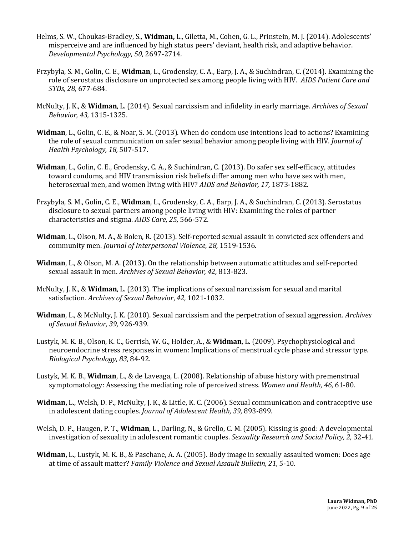- Helms, S. W., Choukas-Bradley, S., Widman, L., Giletta, M., Cohen, G. L., Prinstein, M. J. (2014). Adolescents' misperceive and are influenced by high status peers' deviant, health risk, and adaptive behavior. *Developmental Psychology, 50,* 2697-2714*.*
- Przybyla, S. M., Golin, C. E., **Widman**, L., Grodensky, C. A., Earp, J. A., & Suchindran, C. (2014). Examining the role of serostatus disclosure on unprotected sex among people living with HIV. *AIDS Patient Care and STDs, 28,* 677-684.
- McNulty, J. K., & Widman, L. (2014). Sexual narcissism and infidelity in early marriage. *Archives of Sexual Behavior, 43,* 1315-1325.
- **Widman**, L., Golin, C. E., & Noar, S. M. (2013). When do condom use intentions lead to actions? Examining the role of sexual communication on safer sexual behavior among people living with HIV. *Journal of Health Psychology, 18,* 507-517.
- **Widman**, L., Golin, C. E., Grodensky, C. A., & Suchindran, C. (2013). Do safer sex self-efficacy, attitudes toward condoms, and HIV transmission risk beliefs differ among men who have sex with men, heterosexual men, and women living with HIV? *AIDS and Behavior, 17*, 1873-1882.
- Przybyla, S. M., Golin, C. E., **Widman**, L., Grodensky, C. A., Earp, J. A., & Suchindran, C. (2013). Serostatus disclosure to sexual partners among people living with HIV: Examining the roles of partner characteristics and stigma. AIDS Care, 25, 566-572.
- **Widman**, L., Olson, M. A., & Bolen, R. (2013). Self-reported sexual assault in convicted sex offenders and community men. *Journal of Interpersonal Violence*, 28, 1519-1536.
- **Widman**, L., & Olson, M. A. (2013). On the relationship between automatic attitudes and self-reported sexual assault in men. Archives of Sexual Behavior, 42, 813-823.
- McNulty, J. K., & Widman, L. (2013). The implications of sexual narcissism for sexual and marital satisfaction. Archives of Sexual Behavior, 42, 1021-1032.
- **Widman**, L., & McNulty, J. K. (2010). Sexual narcissism and the perpetration of sexual aggression. *Archives of Sexual Behavior, 39,* 926-939.
- Lustyk, M. K. B., Olson, K. C., Gerrish, W. G., Holder, A., & Widman, L. (2009). Psychophysiological and neuroendocrine stress responses in women: Implications of menstrual cycle phase and stressor type. *Biological Psychology, 83,* 84-92*.*
- Lustyk, M. K. B., **Widman**, L., & de Laveaga, L. (2008). Relationship of abuse history with premenstrual symptomatology: Assessing the mediating role of perceived stress. *Women and Health, 46, 61-80.*
- **Widman,** L., Welsh, D. P., McNulty, J. K., & Little, K. C. (2006). Sexual communication and contraceptive use in adolescent dating couples. *Journal of Adolescent Health*, 39, 893-899.
- Welsh, D. P., Haugen, P. T., **Widman**, L., Darling, N., & Grello, C. M. (2005). Kissing is good: A developmental investigation of sexuality in adolescent romantic couples. *Sexuality Research and Social Policy, 2,* 32-41.
- **Widman,** L., Lustyk, M. K. B., & Paschane, A. A. (2005). Body image in sexually assaulted women: Does age at time of assault matter? Family Violence and Sexual Assault Bulletin, 21, 5-10.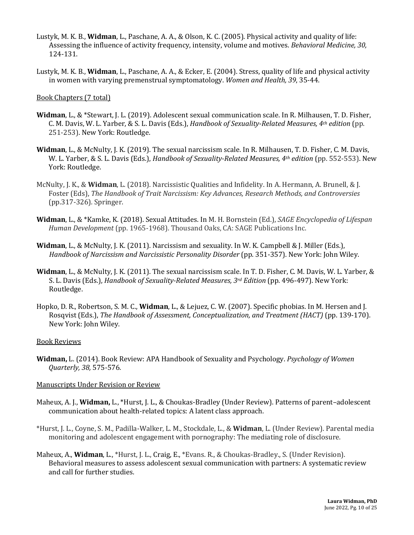- Lustyk, M. K. B., **Widman**, L., Paschane, A. A., & Olson, K. C. (2005). Physical activity and quality of life: Assessing the influence of activity frequency, intensity, volume and motives. *Behavioral Medicine, 30,* 124-131.
- Lustyk, M. K. B., **Widman**, L., Paschane, A. A., & Ecker, E. (2004). Stress, quality of life and physical activity in women with varying premenstrual symptomatology. *Women and Health,* 39, 35-44.

## Book Chapters (7 total)

- **Widman**, L., & \*Stewart, J. L. (2019). Adolescent sexual communication scale. In R. Milhausen, T. D. Fisher, C. M. Davis, W. L. Yarber, & S. L. Davis (Eds.), *Handbook of Sexuality-Related Measures, 4th edition* (pp. 251-253). New York: Routledge.
- **Widman**, L., & McNulty, J. K. (2019). The sexual narcissism scale. In R. Milhausen, T. D. Fisher, C. M. Davis, W. L. Yarber, & S. L. Davis (Eds.), *Handbook of Sexuality-Related Measures, 4<sup>th</sup> edition* (pp. 552-553). New York: Routledge.
- McNulty, J. K., & Widman, L. (2018). Narcissistic Qualities and Infidelity. In A. Hermann, A. Brunell, & J. Foster (Eds), *The Handbook of Trait Narcissism: Key Advances, Research Methods, and Controversies* (pp.317-326)*.* Springer.
- Widman, L., & \*Kamke, K. (2018). Sexual Attitudes. In M. H. Bornstein (Ed.), *SAGE Encyclopedia of Lifespan Human Development* (pp. 1965-1968). Thousand Oaks, CA: SAGE Publications Inc.
- **Widman**, L., & McNulty, J. K. (2011). Narcissism and sexuality. In W. K. Campbell & J. Miller (Eds.), *Handbook of Narcissism and Narcissistic Personality Disorder* (pp. 351-357). New York: John Wiley.
- **Widman**, L., & McNulty, J. K. (2011). The sexual narcissism scale. In T. D. Fisher, C. M. Davis, W. L. Yarber, & S. L. Davis (Eds.), *Handbook of Sexuality-Related Measures, 3<sup>rd</sup> Edition* (pp. 496-497). New York: Routledge.
- Hopko, D. R., Robertson, S. M. C., **Widman**, L., & Lejuez, C. W. (2007). Specific phobias. In M. Hersen and J. Rosqvist (Eds.), *The Handbook of Assessment, Conceptualization, and Treatment (HACT)* (pp. 139-170). New York: John Wiley.

#### **Book Reviews**

**Widman,** L. (2014). Book Review: APA Handbook of Sexuality and Psychology. *Psychology of Women Quarterly, 38,* 575-576*.*

# Manuscripts Under Revision or Review

- Maheux, A. J., **Widman,** L., \*Hurst, J. L., & Choukas-Bradley (Under Review). Patterns of parent-adolescent communication about health-related topics: A latent class approach.
- \*Hurst, J. L., Coyne, S. M., Padilla-Walker, L. M., Stockdale, L., & Widman, L. (Under Review). Parental media monitoring and adolescent engagement with pornography: The mediating role of disclosure.
- Maheux, A., **Widman**, L., \*Hurst, J. L., Craig, E., \*Evans. R., & Choukas-Bradley., S. (Under Revision). Behavioral measures to assess adolescent sexual communication with partners: A systematic review and call for further studies.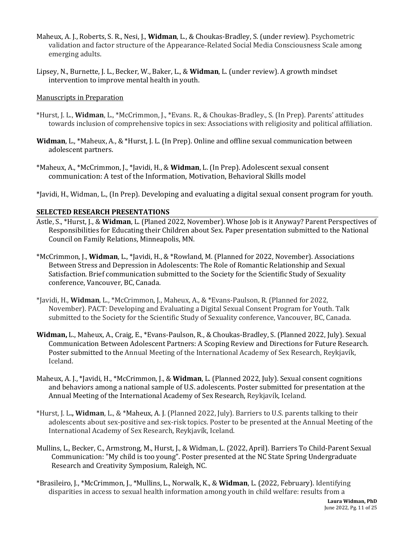- Maheux, A. J., Roberts, S. R., Nesi, J., Widman, L., & Choukas-Bradley, S. (under review). Psychometric validation and factor structure of the Appearance-Related Social Media Consciousness Scale among emerging adults.
- Lipsey, N., Burnette, J. L., Becker, W., Baker, L., & **Widman**, L. (under review). A growth mindset intervention to improve mental health in youth.

## Manuscripts in Preparation

- \*Hurst, J. L., Widman, L., \*McCrimmon, J., \*Evans. R., & Choukas-Bradley., S. (In Prep). Parents' attitudes towards inclusion of comprehensive topics in sex: Associations with religiosity and political affiliation.
- **Widman**, L., \*Maheux, A., & \*Hurst, J. L. (In Prep). Online and offline sexual communication between adolescent partners.
- \*Maheux, A., \*McCrimmon, J., \*Javidi, H., & **Widman**, L. (In Prep). Adolescent sexual consent communication: A test of the Information, Motivation, Behavioral Skills model
- \*Javidi, H., Widman, L., (In Prep). Developing and evaluating a digital sexual consent program for youth.

# **SELECTED RESEARCH PRESENTATIONS**

- Astle, S., \*Hurst, J., & Widman, L. (Planed 2022, November). Whose Job is it Anyway? Parent Perspectives of Responsibilities for Educating their Children about Sex. Paper presentation submitted to the National Council on Family Relations, Minneapolis, MN.
- \*McCrimmon, J., **Widman**, L., \*Javidi, H., & \*Rowland, M. (Planned for 2022, November). Associations Between Stress and Depression in Adolescents: The Role of Romantic Relationship and Sexual Satisfaction. Brief communication submitted to the Society for the Scientific Study of Sexuality conference, Vancouver, BC, Canada.
- \*Javidi, H., **Widman**, L., \*McCrimmon, J., Maheux, A., & \*Evans-Paulson, R. (Planned for 2022, November). PACT: Developing and Evaluating a Digital Sexual Consent Program for Youth. Talk submitted to the Society for the Scientific Study of Sexuality conference, Vancouver, BC, Canada.
- **Widman,** L., Maheux, A., Craig, E., \*Evans-Paulson, R., & Choukas-Bradley, S. (Planned 2022, July). Sexual Communication Between Adolescent Partners: A Scoping Review and Directions for Future Research. Poster submitted to the Annual Meeting of the International Academy of Sex Research, Reykjavík, Iceland.
- Maheux, A. J., \*Javidi, H., \*McCrimmon, J., & Widman, L. (Planned 2022, July). Sexual consent cognitions and behaviors among a national sample of U.S. adolescents. Poster submitted for presentation at the Annual Meeting of the International Academy of Sex Research, Reykjavík, Iceland.
- \*Hurst, J. L., Widman, L., & \*Maheux, A. J. (Planned 2022, July). Barriers to U.S. parents talking to their adolescents about sex-positive and sex-risk topics. Poster to be presented at the Annual Meeting of the International Academy of Sex Research, Reykjavík, Iceland.
- Mullins, L., Becker, C., Armstrong, M., Hurst, J., & Widman, L. (2022, April). Barriers To Child-Parent Sexual Communication: "My child is too young". Poster presented at the NC State Spring Undergraduate Research and Creativity Symposium, Raleigh, NC.
- \*Brasileiro, J., \*McCrimmon, J., \*Mullins, L., Norwalk, K., & **Widman**, L. (2022, February). Identifying disparities in access to sexual health information among youth in child welfare: results from a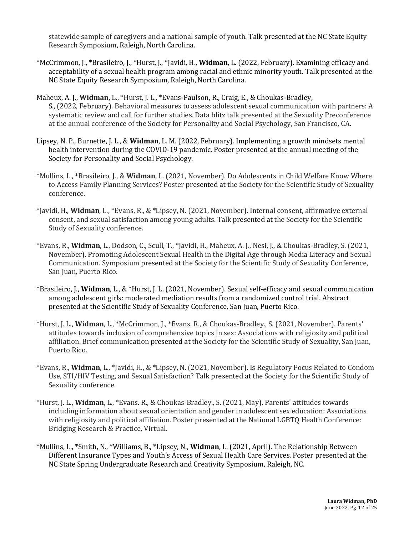statewide sample of caregivers and a national sample of youth. Talk presented at the NC State Equity Research Symposium, Raleigh, North Carolina.

- \*McCrimmon, J., \*Brasileiro, J., \*Hurst, J., \*Javidi, H., Widman, L. (2022, February). Examining efficacy and acceptability of a sexual health program among racial and ethnic minority youth. Talk presented at the NC State Equity Research Symposium, Raleigh, North Carolina.
- Maheux, A. J., Widman, L., \*Hurst, J. L., \*Evans-Paulson, R., Craig, E., & Choukas-Bradley, S., (2022, February). Behavioral measures to assess adolescent sexual communication with partners: A systematic review and call for further studies. Data blitz talk presented at the Sexuality Preconference at the annual conference of the Society for Personality and Social Psychology, San Francisco, CA.
- Lipsey, N. P., Burnette, J. L., & **Widman**, L. M. (2022, February). Implementing a growth mindsets mental health intervention during the COVID-19 pandemic. Poster presented at the annual meeting of the Society for Personality and Social Psychology.
- \*Mullins, L., \*Brasileiro, J., & **Widman**, L. (2021, November). Do Adolescents in Child Welfare Know Where to Access Family Planning Services? Poster presented at the Society for the Scientific Study of Sexuality conference.
- \*Javidi, H., **Widman**, L., \*Evans, R., & \*Lipsey, N. (2021, November). Internal consent, affirmative external consent, and sexual satisfaction among young adults. Talk presented at the Society for the Scientific Study of Sexuality conference.
- \*Evans, R., Widman, L., Dodson, C., Scull, T., \*Javidi, H., Maheux, A. J., Nesi, J., & Choukas-Bradley, S. (2021, November). Promoting Adolescent Sexual Health in the Digital Age through Media Literacy and Sexual Communication. Symposium presented at the Society for the Scientific Study of Sexuality Conference, San Juan, Puerto Rico.
- \*Brasileiro, J., **Widman**, L., & \*Hurst, J. L. (2021, November). Sexual self-efficacy and sexual communication among adolescent girls: moderated mediation results from a randomized control trial. Abstract presented at the Scientific Study of Sexuality Conference, San Juan, Puerto Rico.
- \*Hurst, J. L., **Widman**, L., \*McCrimmon, J., \*Evans. R., & Choukas-Bradley., S. (2021, November). Parents' attitudes towards inclusion of comprehensive topics in sex: Associations with religiosity and political affiliation. Brief communication presented at the Society for the Scientific Study of Sexuality, San Juan, Puerto Rico.
- \*Evans, R., Widman, L., \*Javidi, H., & \*Lipsey, N. (2021, November). Is Regulatory Focus Related to Condom Use, STI/HIV Testing, and Sexual Satisfaction? Talk presented at the Society for the Scientific Study of Sexuality conference.
- \*Hurst, J. L., **Widman**, L., \*Evans. R., & Choukas-Bradley., S. (2021, May). Parents' attitudes towards including information about sexual orientation and gender in adolescent sex education: Associations with religiosity and political affiliation. Poster presented at the National LGBTQ Health Conference: Bridging Research & Practice, Virtual.
- \*Mullins, L., \*Smith, N., \*Williams, B., \*Lipsey, N., **Widman**, L. (2021, April). The Relationship Between Different Insurance Types and Youth's Access of Sexual Health Care Services. Poster presented at the NC State Spring Undergraduate Research and Creativity Symposium, Raleigh, NC.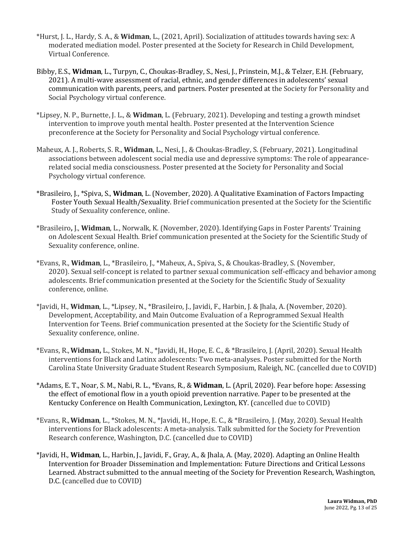- \*Hurst, J. L., Hardy, S. A., & **Widman**, L., (2021, April). Socialization of attitudes towards having sex: A moderated mediation model. Poster presented at the Society for Research in Child Development, Virtual Conference.
- Bibby, E.S., **Widman**, L., Turpyn, C., Choukas-Bradley, S., Nesi, J., Prinstein, M.J., & Telzer, E.H. (February, 2021). A multi-wave assessment of racial, ethnic, and gender differences in adolescents' sexual communication with parents, peers, and partners. Poster presented at the Society for Personality and Social Psychology virtual conference.
- \*Lipsey, N. P., Burnette, J. L., & **Widman**, L. (February, 2021). Developing and testing a growth mindset intervention to improve youth mental health. Poster presented at the Intervention Science preconference at the Society for Personality and Social Psychology virtual conference.
- Maheux, A. J., Roberts, S. R., **Widman**, L., Nesi, J., & Choukas-Bradley, S. (February, 2021). Longitudinal associations between adolescent social media use and depressive symptoms: The role of appearancerelated social media consciousness. Poster presented at the Society for Personality and Social Psychology virtual conference.
- \*Brasileiro, J., \*Spiva, S., **Widman**, L. (November, 2020). A Qualitative Examination of Factors Impacting Foster Youth Sexual Health/Sexuality. Brief communication presented at the Society for the Scientific Study of Sexuality conference, online.
- \*Brasileiro**,** J., **Widman**, L., Norwalk, K. (November, 2020). Identifying Gaps in Foster Parents' Training on Adolescent Sexual Health. Brief communication presented at the Society for the Scientific Study of Sexuality conference, online.
- \*Evans, R., Widman, L., \*Brasileiro, J., \*Maheux, A., Spiva, S., & Choukas-Bradley, S. (November, 2020). Sexual self-concept is related to partner sexual communication self-efficacy and behavior among adolescents. Brief communication presented at the Society for the Scientific Study of Sexuality conference, online.
- \*Javidi, H., **Widman**, L., \*Lipsey, N., \*Brasileiro, J., Javidi, F., Harbin, J. & Jhala, A. (November, 2020). Development, Acceptability, and Main Outcome Evaluation of a Reprogrammed Sexual Health Intervention for Teens. Brief communication presented at the Society for the Scientific Study of Sexuality conference, online.
- \*Evans, R., Widman, L., Stokes, M. N., \*Javidi, H., Hope, E. C., & \*Brasileiro, J. (April, 2020). Sexual Health interventions for Black and Latinx adolescents: Two meta-analyses. Poster submitted for the North Carolina State University Graduate Student Research Symposium, Raleigh, NC. (cancelled due to COVID)
- \*Adams, E. T., Noar, S. M., Nabi, R. L., \*Evans, R., & **Widman**, L. (April, 2020). Fear before hope: Assessing the effect of emotional flow in a youth opioid prevention narrative. Paper to be presented at the Kentucky Conference on Health Communication, Lexington, KY. (cancelled due to COVID)
- \*Evans, R., Widman, L., \*Stokes, M. N., \*Javidi, H., Hope, E. C., & \*Brasileiro, J. (May, 2020). Sexual Health interventions for Black adolescents: A meta-analysis. Talk submitted for the Society for Prevention Research conference, Washington, D.C. (cancelled due to COVID)
- \*Javidi, H., **Widman**, L., Harbin, J., Javidi, F., Gray, A., & Jhala, A. (May, 2020). Adapting an Online Health Intervention for Broader Dissemination and Implementation: Future Directions and Critical Lessons Learned. Abstract submitted to the annual meeting of the Society for Prevention Research, Washington, D.C. (cancelled due to COVID)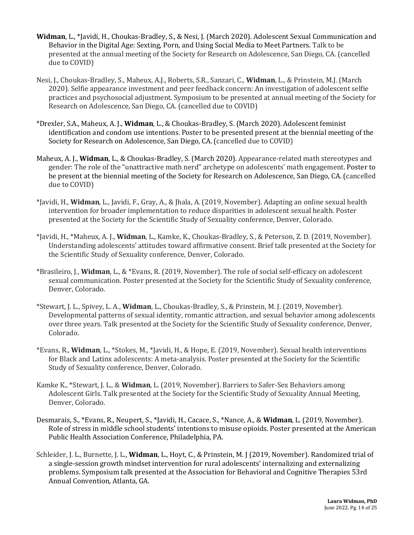- Widman, L., \*Javidi, H., Choukas-Bradley, S., & Nesi, J. (March 2020). Adolescent Sexual Communication and Behavior in the Digital Age: Sexting, Porn, and Using Social Media to Meet Partners. Talk to be presented at the annual meeting of the Society for Research on Adolescence, San Diego, CA. (cancelled due to COVID)
- Nesi, J., Choukas-Bradley, S., Maheux, A.J., Roberts, S.R., Sanzari, C., **Widman**, L., & Prinstein, M.J. (March 2020). Selfie appearance investment and peer feedback concern: An investigation of adolescent selfie practices and psychosocial adjustment. Symposium to be presented at annual meeting of the Society for Research on Adolescence, San Diego, CA. (cancelled due to COVID)
- \*Drexler, S.A., Maheux, A. J., **Widman**, L., & Choukas-Bradley, S. (March 2020). Adolescent feminist identification and condom use intentions. Poster to be presented present at the biennial meeting of the Society for Research on Adolescence, San Diego, CA. (cancelled due to COVID)
- Maheux, A. J., **Widman**, L., & Choukas-Bradley, S. (March 2020). Appearance-related math stereotypes and gender: The role of the "unattractive math nerd" archetype on adolescents' math engagement. Poster to be present at the biennial meeting of the Society for Research on Adolescence, San Diego, CA. (cancelled due to COVID)
- \*Javidi, H., **Widman**, L., Javidi, F., Gray, A., & Jhala, A. (2019, November). Adapting an online sexual health intervention for broader implementation to reduce disparities in adolescent sexual health. Poster presented at the Society for the Scientific Study of Sexuality conference, Denver, Colorado.
- \*Javidi, H., \*Maheux, A. J., **Widman**, L., Kamke, K., Choukas-Bradley, S., & Peterson, Z. D. (2019, November). Understanding adolescents' attitudes toward affirmative consent. Brief talk presented at the Society for the Scientific Study of Sexuality conference, Denver, Colorado.
- \*Brasileiro, J., **Widman**, L., & \*Evans, R. (2019, November). The role of social self-efficacy on adolescent sexual communication. Poster presented at the Society for the Scientific Study of Sexuality conference, Denver, Colorado.
- \*Stewart, J. L., Spivey, L. A., **Widman**, L., Choukas-Bradley, S., & Prinstein, M. J. (2019, November). Developmental patterns of sexual identity, romantic attraction, and sexual behavior among adolescents over three years. Talk presented at the Society for the Scientific Study of Sexuality conference, Denver, Colorado.
- \*Evans, R., **Widman**, L., \*Stokes, M., \*Javidi, H., & Hope, E. (2019, November). Sexual health interventions for Black and Latinx adolescents: A meta-analysis. Poster presented at the Society for the Scientific Study of Sexuality conference, Denver, Colorado.
- Kamke K., \*Stewart, J. L., & **Widman**, L. (2019, November). Barriers to Safer-Sex Behaviors among Adolescent Girls. Talk presented at the Society for the Scientific Study of Sexuality Annual Meeting, Denver, Colorado.
- Desmarais, S., \*Evans, R., Neupert, S., \*Javidi, H., Cacace, S., \*Nance, A., & Widman, L. (2019, November). Role of stress in middle school students' intentions to misuse opioids. Poster presented at the American Public Health Association Conference, Philadelphia, PA.
- Schleider, J. L., Burnette, J. L., Widman, L., Hoyt, C., & Prinstein, M. J (2019, November). Randomized trial of a single-session growth mindset intervention for rural adolescents' internalizing and externalizing problems. Symposium talk presented at the Association for Behavioral and Cognitive Therapies 53rd Annual Convention, Atlanta, GA.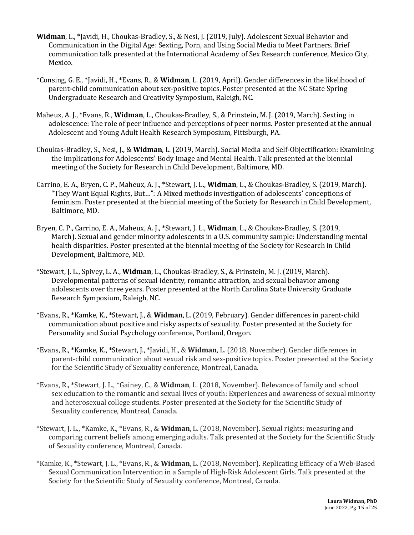- **Widman**, L., \*Javidi, H., Choukas-Bradley, S., & Nesi, J. (2019, July). Adolescent Sexual Behavior and Communication in the Digital Age: Sexting, Porn, and Using Social Media to Meet Partners. Brief communication talk presented at the International Academy of Sex Research conference, Mexico City, Mexico.
- \*Consing, G. E., \*Javidi, H., \*Evans, R., & **Widman**, L. (2019, April). Gender differences in the likelihood of parent-child communication about sex-positive topics. Poster presented at the NC State Spring Undergraduate Research and Creativity Symposium, Raleigh, NC.
- Maheux, A. J., \*Evans, R., Widman, L., Choukas-Bradley, S., & Prinstein, M. J. (2019, March). Sexting in adolescence: The role of peer influence and perceptions of peer norms. Poster presented at the annual Adolescent and Young Adult Health Research Symposium, Pittsburgh, PA.
- Choukas-Bradley, S., Nesi, J., & **Widman**, L. (2019, March). Social Media and Self-Objectification: Examining the Implications for Adolescents' Body Image and Mental Health. Talk presented at the biennial meeting of the Society for Research in Child Development, Baltimore, MD.
- Carrino, E. A., Bryen, C. P., Maheux, A. J., \*Stewart, J. L., **Widman**, L., & Choukas-Bradley, S. (2019, March). "They Want Equal Rights, But...": A Mixed methods investigation of adolescents' conceptions of feminism. Poster presented at the biennial meeting of the Society for Research in Child Development, Baltimore, MD.
- Bryen, C. P., Carrino, E. A., Maheux, A. J., \*Stewart, J. L., **Widman**, L., & Choukas-Bradley, S. (2019, March). Sexual and gender minority adolescents in a U.S. community sample: Understanding mental health disparities. Poster presented at the biennial meeting of the Society for Research in Child Development, Baltimore, MD.
- \*Stewart, J. L., Spivey, L. A., **Widman**, L., Choukas-Bradley, S., & Prinstein, M. J. (2019, March). Developmental patterns of sexual identity, romantic attraction, and sexual behavior among adolescents over three years. Poster presented at the North Carolina State University Graduate Research Symposium, Raleigh, NC.
- \*Evans, R., \*Kamke, K., \*Stewart, J., & **Widman**, L. (2019, February). Gender differences in parent-child communication about positive and risky aspects of sexuality. Poster presented at the Society for Personality and Social Psychology conference, Portland, Oregon.
- \*Evans, R., \*Kamke, K., \*Stewart, J., \*Javidi, H., & **Widman**, L. (2018, November). Gender differences in parent-child communication about sexual risk and sex-positive topics. Poster presented at the Society for the Scientific Study of Sexuality conference, Montreal, Canada.
- \*Evans, R.**,** \*Stewart, J. L., \*Gainey, C., & **Widman**, L. (2018, November). Relevance of family and school sex education to the romantic and sexual lives of youth: Experiences and awareness of sexual minority and heterosexual college students. Poster presented at the Society for the Scientific Study of Sexuality conference, Montreal, Canada.
- \*Stewart, J. L., \*Kamke, K., \*Evans, R., & **Widman**, L. (2018, November). Sexual rights: measuring and comparing current beliefs among emerging adults. Talk presented at the Society for the Scientific Study of Sexuality conference, Montreal, Canada.
- \*Kamke, K., \*Stewart, J. L., \*Evans, R., & **Widman**, L. (2018, November). Replicating Efficacy of a Web-Based Sexual Communication Intervention in a Sample of High-Risk Adolescent Girls. Talk presented at the Society for the Scientific Study of Sexuality conference, Montreal, Canada.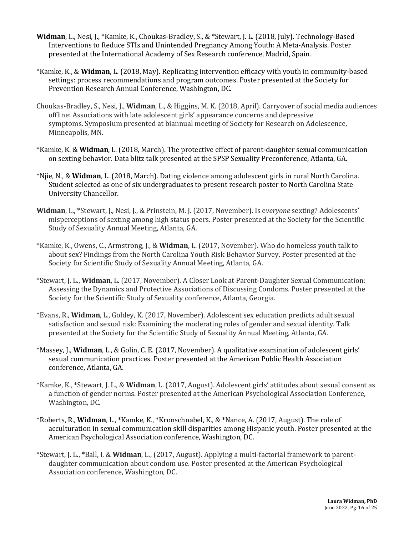- **Widman**, L., Nesi, J., \*Kamke, K., Choukas-Bradley, S., & \*Stewart, J. L. (2018, July). Technology-Based Interventions to Reduce STIs and Unintended Pregnancy Among Youth: A Meta-Analysis. Poster presented at the International Academy of Sex Research conference, Madrid, Spain.
- \*Kamke, K., & **Widman**, L. (2018, May). Replicating intervention efficacy with youth in community-based settings: process recommendations and program outcomes. Poster presented at the Society for Prevention Research Annual Conference, Washington, DC.
- Choukas-Bradley, S., Nesi, J., **Widman**, L., & Higgins, M. K. (2018, April). Carryover of social media audiences offline: Associations with late adolescent girls' appearance concerns and depressive symptoms. Symposium presented at biannual meeting of Society for Research on Adolescence, Minneapolis, MN.
- \*Kamke, K. & **Widman**, L. (2018, March). The protective effect of parent-daughter sexual communication on sexting behavior. Data blitz talk presented at the SPSP Sexuality Preconference, Atlanta, GA.
- \*Njie, N., & **Widman**, L. (2018, March). Dating violence among adolescent girls in rural North Carolina. Student selected as one of six undergraduates to present research poster to North Carolina State University Chancellor.
- Widman, L., \*Stewart, J., Nesi, J., & Prinstein, M. J. (2017, November). Is everyone sexting? Adolescents' misperceptions of sexting among high status peers. Poster presented at the Society for the Scientific Study of Sexuality Annual Meeting, Atlanta, GA.
- \*Kamke, K., Owens, C., Armstrong, J., & **Widman**, L. (2017, November). Who do homeless youth talk to about sex? Findings from the North Carolina Youth Risk Behavior Survey. Poster presented at the Society for Scientific Study of Sexuality Annual Meeting, Atlanta, GA.
- \*Stewart, J. L., **Widman**, L. (2017, November). A Closer Look at Parent-Daughter Sexual Communication: Assessing the Dynamics and Protective Associations of Discussing Condoms. Poster presented at the Society for the Scientific Study of Sexuality conference, Atlanta, Georgia.
- \*Evans, R., **Widman**, L., Goldey, K. (2017, November). Adolescent sex education predicts adult sexual satisfaction and sexual risk: Examining the moderating roles of gender and sexual identity. Talk presented at the Society for the Scientific Study of Sexuality Annual Meeting, Atlanta, GA.
- \*Massey, J., **Widman**, L., & Golin, C. E. (2017, November). A qualitative examination of adolescent girls' sexual communication practices. Poster presented at the American Public Health Association conference, Atlanta, GA.
- \*Kamke, K., \*Stewart, J. L., & **Widman**, L. (2017, August). Adolescent girls' attitudes about sexual consent as a function of gender norms. Poster presented at the American Psychological Association Conference, Washington, DC.
- \*Roberts, R., Widman, L., \*Kamke, K., \*Kronschnabel, K., & \*Nance, A. (2017, August). The role of acculturation in sexual communication skill disparities among Hispanic youth. Poster presented at the American Psychological Association conference, Washington, DC.
- \*Stewart, J. L., \*Ball, I. & **Widman**, L., (2017, August). Applying a multi-factorial framework to parentdaughter communication about condom use. Poster presented at the American Psychological Association conference, Washington, DC.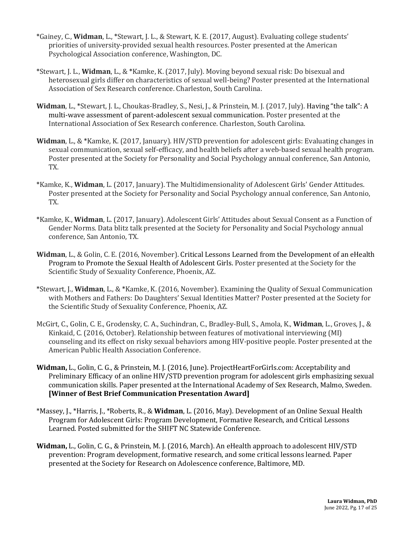- \*Gainey, C., Widman, L., \*Stewart, J. L., & Stewart, K. E. (2017, August). Evaluating college students' priorities of university-provided sexual health resources. Poster presented at the American Psychological Association conference, Washington, DC.
- \*Stewart, J. L., **Widman**, L., & \*Kamke, K. (2017, July). Moving beyond sexual risk: Do bisexual and heterosexual girls differ on characteristics of sexual well-being? Poster presented at the International Association of Sex Research conference. Charleston, South Carolina.
- **Widman**, L., \*Stewart, J. L., Choukas-Bradley, S., Nesi, J., & Prinstein, M. J. (2017, July). Having "the talk": A multi-wave assessment of parent-adolescent sexual communication. Poster presented at the International Association of Sex Research conference. Charleston, South Carolina.
- **Widman**, L., & \*Kamke, K. (2017, January). HIV/STD prevention for adolescent girls: Evaluating changes in sexual communication, sexual self-efficacy, and health beliefs after a web-based sexual health program. Poster presented at the Society for Personality and Social Psychology annual conference, San Antonio, TX.
- \*Kamke, K., **Widman**, L. (2017, January). The Multidimensionality of Adolescent Girls' Gender Attitudes. Poster presented at the Society for Personality and Social Psychology annual conference, San Antonio, TX.
- \*Kamke, K., Widman, L. (2017, January). Adolescent Girls' Attitudes about Sexual Consent as a Function of Gender Norms. Data blitz talk presented at the Society for Personality and Social Psychology annual conference, San Antonio, TX.
- **Widman**, L., & Golin, C. E. (2016, November). Critical Lessons Learned from the Development of an eHealth Program to Promote the Sexual Health of Adolescent Girls. Poster presented at the Society for the Scientific Study of Sexuality Conference, Phoenix, AZ.
- \*Stewart, J., **Widman**, L., & \*Kamke, K. (2016, November). Examining the Quality of Sexual Communication with Mothers and Fathers: Do Daughters' Sexual Identities Matter? Poster presented at the Society for the Scientific Study of Sexuality Conference, Phoenix, AZ.
- McGirt, C., Golin, C. E., Grodensky, C. A., Suchindran, C., Bradley-Bull, S., Amola, K., Widman, L., Groves, J., & Kinkaid, C. (2016, October). Relationship between features of motivational interviewing (MI) counseling and its effect on risky sexual behaviors among HIV-positive people. Poster presented at the American Public Health Association Conference.
- Widman, L., Golin, C. G., & Prinstein, M. J. (2016, June). ProjectHeartForGirls.com: Acceptability and Preliminary Efficacy of an online HIV/STD prevention program for adolescent girls emphasizing sexual communication skills. Paper presented at the International Academy of Sex Research, Malmo, Sweden. [Winner of Best Brief Communication Presentation Award]
- \*Massey, J., \*Harris, J., \*Roberts, R., & **Widman**, L. (2016, May). Development of an Online Sexual Health Program for Adolescent Girls: Program Development, Formative Research, and Critical Lessons Learned. Posted submitted for the SHIFT NC Statewide Conference.
- Widman, L., Golin, C. G., & Prinstein, M. J. (2016, March). An eHealth approach to adolescent HIV/STD prevention: Program development, formative research, and some critical lessons learned. Paper presented at the Society for Research on Adolescence conference, Baltimore, MD.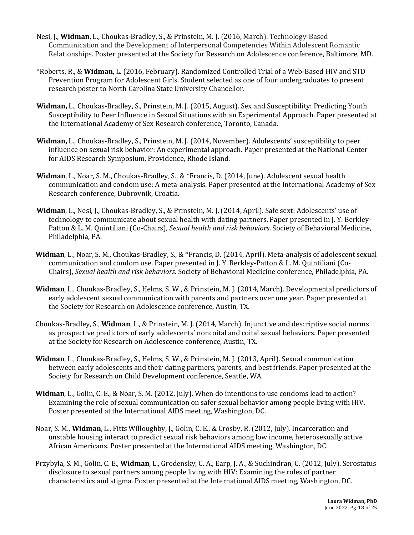- Nesi, J., Widman, L., Choukas-Bradley, S., & Prinstein, M. J. (2016, March). Technology-Based Communication and the Development of Interpersonal Competencies Within Adolescent Romantic Relationships. Poster presented at the Society for Research on Adolescence conference, Baltimore, MD.
- \*Roberts, R., & **Widman**, L. (2016, February). Randomized Controlled Trial of a Web-Based HIV and STD Prevention Program for Adolescent Girls. Student selected as one of four undergraduates to present research poster to North Carolina State University Chancellor.
- **Widman,** L., Choukas-Bradley, S., Prinstein, M. J. (2015, August). Sex and Susceptibility: Predicting Youth Susceptibility to Peer Influence in Sexual Situations with an Experimental Approach. Paper presented at the International Academy of Sex Research conference, Toronto, Canada.
- Widman, L., Choukas-Bradley, S., Prinstein, M. J. (2014, November). Adolescents' susceptibility to peer influence on sexual risk behavior: An experimental approach. Paper presented at the National Center for AIDS Research Symposium, Providence, Rhode Island.
- **Widman**, L., Noar, S. M., Choukas-Bradley, S., & \*Francis, D. (2014, June). Adolescent sexual health communication and condom use: A meta-analysis. Paper presented at the International Academy of Sex Research conference, Dubrovnik, Croatia.
- Widman, L., Nesi, J., Choukas-Bradley, S., & Prinstein, M. J. (2014, April). Safe sext: Adolescents' use of technology to communicate about sexual health with dating partners. Paper presented in J. Y. Berkley-Patton & L. M. Quintiliani (Co-Chairs), *Sexual health and risk behaviors*. Society of Behavioral Medicine, Philadelphia, PA.
- **Widman**, L., Noar, S. M., Choukas-Bradley, S., & \*Francis, D. (2014, April). Meta-analysis of adolescent sexual communication and condom use. Paper presented in J. Y. Berkley-Patton & L. M. Quintiliani (Co-Chairs), *Sexual health and risk behaviors*. Society of Behavioral Medicine conference, Philadelphia, PA.
- Widman, L., Choukas-Bradley, S., Helms, S. W., & Prinstein, M. J. (2014, March). Developmental predictors of early adolescent sexual communication with parents and partners over one year. Paper presented at the Society for Research on Adolescence conference, Austin, TX.
- Choukas-Bradley, S., **Widman**, L., & Prinstein, M. J. (2014, March). Injunctive and descriptive social norms as prospective predictors of early adolescents' noncoital and coital sexual behaviors. Paper presented at the Society for Research on Adolescence conference, Austin, TX.
- **Widman**, L., Choukas-Bradley, S., Helms, S. W., & Prinstein, M. J. (2013, April). Sexual communication between early adolescents and their dating partners, parents, and best friends. Paper presented at the Society for Research on Child Development conference, Seattle, WA.
- **Widman**, L., Golin, C. E., & Noar, S. M. (2012, July). When do intentions to use condoms lead to action? Examining the role of sexual communication on safer sexual behavior among people living with HIV. Poster presented at the International AIDS meeting, Washington, DC.
- Noar, S. M., **Widman**, L., Fitts Willoughby, J., Golin, C. E., & Crosby, R. (2012, July). Incarceration and unstable housing interact to predict sexual risk behaviors among low income, heterosexually active African Americans. Poster presented at the International AIDS meeting, Washington, DC.
- Przybyla, S. M., Golin, C. E., **Widman**, L., Grodensky, C. A., Earp, J. A., & Suchindran, C. (2012, July). Serostatus disclosure to sexual partners among people living with HIV: Examining the roles of partner characteristics and stigma. Poster presented at the International AIDS meeting, Washington, DC.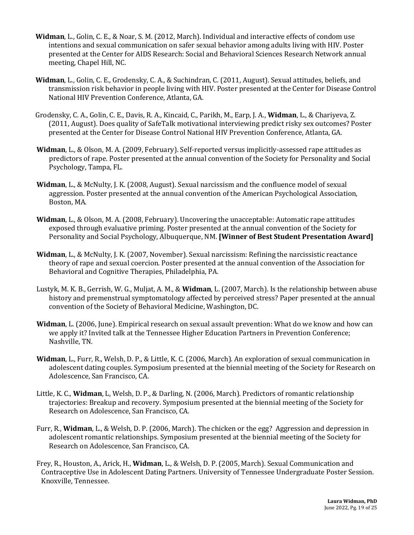- **Widman**, L., Golin, C. E., & Noar, S. M. (2012, March). Individual and interactive effects of condom use intentions and sexual communication on safer sexual behavior among adults living with HIV. Poster presented at the Center for AIDS Research: Social and Behavioral Sciences Research Network annual meeting, Chapel Hill, NC.
- **Widman**, L., Golin, C. E., Grodensky, C. A., & Suchindran, C. (2011, August). Sexual attitudes, beliefs, and transmission risk behavior in people living with HIV. Poster presented at the Center for Disease Control National HIV Prevention Conference, Atlanta, GA.
- Grodensky, C. A., Golin, C. E., Davis, R. A., Kincaid, C., Parikh, M., Earp, J. A., Widman, L., & Chariyeva, Z. (2011, August). Does quality of SafeTalk motivational interviewing predict risky sex outcomes? Poster presented at the Center for Disease Control National HIV Prevention Conference, Atlanta, GA.
- **Widman**, L., & Olson, M. A. (2009, February). Self-reported versus implicitly-assessed rape attitudes as predictors of rape. Poster presented at the annual convention of the Society for Personality and Social Psychology, Tampa, FL.
- **Widman**, L., & McNulty, J. K. (2008, August). Sexual narcissism and the confluence model of sexual aggression. Poster presented at the annual convention of the American Psychological Association, Boston, MA.
- Widman, L., & Olson, M. A. (2008, February). Uncovering the unacceptable: Automatic rape attitudes exposed through evaluative priming. Poster presented at the annual convention of the Society for Personality and Social Psychology, Albuquerque, NM. **[Winner of Best Student Presentation Award]**
- **Widman**, L., & McNulty, J. K. (2007, November). Sexual narcissism: Refining the narcissistic reactance theory of rape and sexual coercion. Poster presented at the annual convention of the Association for Behavioral and Cognitive Therapies, Philadelphia, PA.
- Lustyk, M. K. B., Gerrish, W. G., Muljat, A. M., & Widman, L. (2007, March). Is the relationship between abuse history and premenstrual symptomatology affected by perceived stress? Paper presented at the annual convention of the Society of Behavioral Medicine, Washington, DC.
- **Widman**, L. (2006, June). Empirical research on sexual assault prevention: What do we know and how can we apply it? Invited talk at the Tennessee Higher Education Partners in Prevention Conference; Nashville, TN.
- Widman, L., Furr, R., Welsh, D. P., & Little, K. C. (2006, March). An exploration of sexual communication in adolescent dating couples. Symposium presented at the biennial meeting of the Society for Research on Adolescence, San Francisco, CA.
- Little, K. C., **Widman**, L. Welsh, D. P., & Darling, N. (2006, March). Predictors of romantic relationship trajectories: Breakup and recovery. Symposium presented at the biennial meeting of the Society for Research on Adolescence, San Francisco, CA.
- Furr, R., **Widman**, L., & Welsh, D. P. (2006, March). The chicken or the egg? Aggression and depression in adolescent romantic relationships. Symposium presented at the biennial meeting of the Society for Research on Adolescence, San Francisco, CA.
- Frey, R., Houston, A., Arick, H., **Widman**, L., & Welsh, D. P. (2005, March). Sexual Communication and Contraceptive Use in Adolescent Dating Partners. University of Tennessee Undergraduate Poster Session. Knoxville, Tennessee.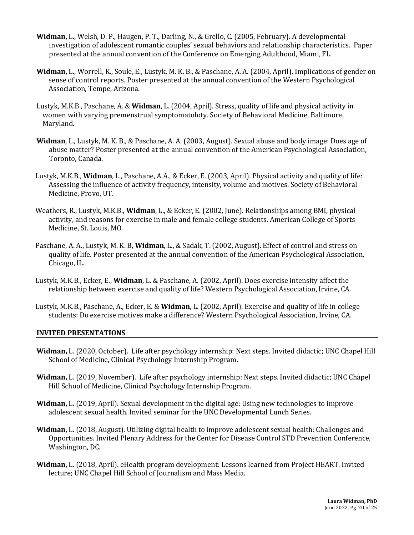- **Widman,** L., Welsh, D. P., Haugen, P. T., Darling, N., & Grello, C. (2005, February). A developmental investigation of adolescent romantic couples' sexual behaviors and relationship characteristics. Paper presented at the annual convention of the Conference on Emerging Adulthood, Miami, FL.
- **Widman,** L., Worrell, K., Soule, E., Lustyk, M. K. B., & Paschane, A. A. (2004, April). Implications of gender on sense of control reports. Poster presented at the annual convention of the Western Psychological Association, Tempe, Arizona.
- Lustyk, M.K.B., Paschane, A. & **Widman**, L. (2004, April). Stress, quality of life and physical activity in women with varying premenstrual symptomatoloty. Society of Behavioral Medicine, Baltimore, Maryland.
- **Widman**, L., Lustyk, M. K. B., & Paschane, A. A. (2003, August). Sexual abuse and body image: Does age of abuse matter? Poster presented at the annual convention of the American Psychological Association, Toronto, Canada.
- Lustyk, M.K.B., **Widman**, L., Paschane, A.A., & Ecker, E. (2003, April). Physical activity and quality of life: Assessing the influence of activity frequency, intensity, volume and motives. Society of Behavioral Medicine, Provo, UT.
- Weathers, R., Lustyk, M.K.B., **Widman**, L., & Ecker, E. (2002, June). Relationships among BMI, physical activity, and reasons for exercise in male and female college students. American College of Sports Medicine, St. Louis, MO.
- Paschane, A. A., Lustyk, M. K. B, **Widman**, L., & Sadak, T. (2002, August). Effect of control and stress on quality of life. Poster presented at the annual convention of the American Psychological Association, Chicago, IL.
- Lustyk, M.K.B., Ecker, E., **Widman**, L. & Paschane, A. (2002, April). Does exercise intensity affect the relationship between exercise and quality of life? Western Psychological Association, Irvine, CA.
- Lustyk, M.K.B., Paschane, A., Ecker, E. & **Widman**, L. (2002, April). Exercise and quality of life in college students: Do exercise motives make a difference? Western Psychological Association, Irvine, CA.

#### **INVITED PRESENTATIONS**

- **Widman,** L. (2020, October). Life after psychology internship: Next steps. Invited didactic; UNC Chapel Hill School of Medicine, Clinical Psychology Internship Program.
- Widman, L. (2019, November). Life after psychology internship: Next steps. Invited didactic; UNC Chapel Hill School of Medicine, Clinical Psychology Internship Program.
- **Widman,** L. (2019, April). Sexual development in the digital age: Using new technologies to improve adolescent sexual health. Invited seminar for the UNC Developmental Lunch Series.
- **Widman,** L. (2018, August). Utilizing digital health to improve adolescent sexual health: Challenges and Opportunities. Invited Plenary Address for the Center for Disease Control STD Prevention Conference, Washington, DC.
- Widman, L. (2018, April). eHealth program development: Lessons learned from Project HEART. Invited lecture; UNC Chapel Hill School of Journalism and Mass Media.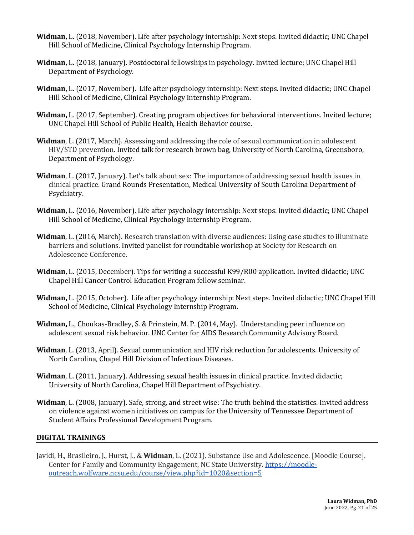- **Widman,** L. (2018, November). Life after psychology internship: Next steps. Invited didactic; UNC Chapel Hill School of Medicine, Clinical Psychology Internship Program.
- Widman, L. (2018, January). Postdoctoral fellowships in psychology. Invited lecture; UNC Chapel Hill Department of Psychology.
- **Widman,** L. (2017, November). Life after psychology internship: Next steps. Invited didactic; UNC Chapel Hill School of Medicine, Clinical Psychology Internship Program.
- **Widman,** L. (2017, September). Creating program objectives for behavioral interventions. Invited lecture; UNC Chapel Hill School of Public Health, Health Behavior course.
- **Widman,** L. (2017, March). Assessing and addressing the role of sexual communication in adolescent HIV/STD prevention. Invited talk for research brown bag, University of North Carolina, Greensboro, Department of Psychology.
- **Widman**, L. (2017, January). Let's talk about sex: The importance of addressing sexual health issues in clinical practice. Grand Rounds Presentation, Medical University of South Carolina Department of Psychiatry.
- **Widman,** L. (2016, November). Life after psychology internship: Next steps. Invited didactic; UNC Chapel Hill School of Medicine, Clinical Psychology Internship Program.
- **Widman,** L. (2016, March). Research translation with diverse audiences: Using case studies to illuminate barriers and solutions. Invited panelist for roundtable workshop at Society for Research on Adolescence Conference.
- **Widman,** L. (2015, December). Tips for writing a successful K99/R00 application. Invited didactic; UNC Chapel Hill Cancer Control Education Program fellow seminar.
- **Widman,** L. (2015, October). Life after psychology internship: Next steps. Invited didactic; UNC Chapel Hill School of Medicine, Clinical Psychology Internship Program.
- **Widman,** L., Choukas-Bradley, S. & Prinstein, M. P. (2014, May). Understanding peer influence on adolescent sexual risk behavior. UNC Center for AIDS Research Community Advisory Board.
- **Widman**, L. (2013, April). Sexual communication and HIV risk reduction for adolescents. University of North Carolina, Chapel Hill Division of Infectious Diseases.
- **Widman**, L. (2011, January). Addressing sexual health issues in clinical practice. Invited didactic; University of North Carolina, Chapel Hill Department of Psychiatry.
- **Widman**, L. (2008, January). Safe, strong, and street wise: The truth behind the statistics. Invited address on violence against women initiatives on campus for the University of Tennessee Department of Student Affairs Professional Development Program.

# **DIGITAL TRAININGS**

Javidi, H., Brasileiro, J., Hurst, J., & Widman, L. (2021). Substance Use and Adolescence. [Moodle Course]. Center for Family and Community Engagement, NC State University. https://moodleoutreach.wolfware.ncsu.edu/course/view.php?id=1020&section=5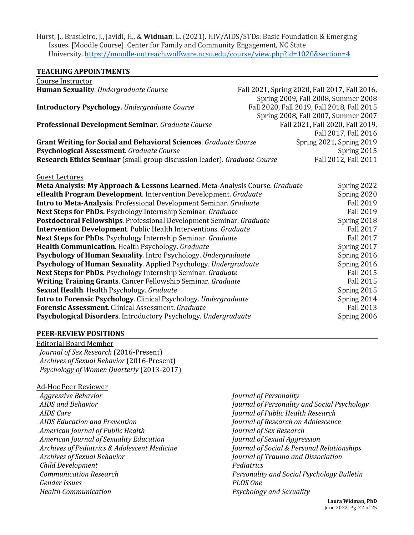Hurst, J., Brasileiro, J., Javidi, H., & **Widman**, L. (2021). HIV/AIDS/STDs: Basic Foundation & Emerging Issues. [Moodle Course]. Center for Family and Community Engagement, NC State University. https://moodle-outreach.wolfware.ncsu.edu/course/view.php?id=1020&section=4

#### **TEACHING APPOINTMENTS**

| Course Instructor                                                            |                                               |
|------------------------------------------------------------------------------|-----------------------------------------------|
| Human Sexuality. Undergraduate Course                                        | Fall 2021, Spring 2020, Fall 2017, Fall 2016, |
|                                                                              | Spring 2009, Fall 2008, Summer 2008           |
| <b>Introductory Psychology.</b> Undergraduate Course                         | Fall 2020, Fall 2019, Fall 2018, Fall 2015    |
|                                                                              | Spring 2008, Fall 2007, Summer 2007           |
| Professional Development Seminar. Graduate Course                            | Fall 2021, Fall 2020, Fall 2019,              |
|                                                                              | Fall 2017, Fall 2016                          |
| Grant Writing for Social and Behavioral Sciences. Graduate Course            | Spring 2021, Spring 2019                      |
| Psychological Assessment. Graduate Course                                    | Spring 2015                                   |
| Research Ethics Seminar (small group discussion leader). Graduate Course     | Fall 2012, Fall 2011                          |
|                                                                              |                                               |
| <b>Guest Lectures</b>                                                        |                                               |
| Meta Analysis: My Approach & Lessons Learned. Meta-Analysis Course. Graduate | Spring 2022                                   |
| eHealth Program Development. Intervention Development. Graduate              | Spring 2020                                   |
| Intro to Meta-Analysis. Professional Development Seminar. Graduate           | <b>Fall 2019</b>                              |
| Next Steps for PhDs. Psychology Internship Seminar. Graduate                 | <b>Fall 2019</b>                              |
| Postdoctoral Fellowships. Professional Development Seminar. Graduate         | Spring 2018                                   |
| <b>Intervention Development</b> . Public Health Interventions. Graduate      | <b>Fall 2017</b>                              |
| Next Steps for PhDs. Psychology Internship Seminar. Graduate                 | <b>Fall 2017</b>                              |
| Health Communication. Health Psychology. Graduate                            | Spring 2017                                   |
| Psychology of Human Sexuality. Intro Psychology. Undergraduate               | Spring 2016                                   |
| Psychology of Human Sexuality. Applied Psychology. Undergraduate             | Spring 2016                                   |
| Next Steps for PhDs. Psychology Internship Seminar. Graduate                 | <b>Fall 2015</b>                              |
| Writing Training Grants. Cancer Fellowship Seminar. Graduate                 | <b>Fall 2015</b>                              |
| Sexual Health. Health Psychology. Graduate                                   | Spring 2015                                   |
| Intro to Forensic Psychology. Clinical Psychology. Undergraduate             | Spring 2014                                   |
| Forensic Assessment. Clinical Assessment. Graduate                           | <b>Fall 2013</b>                              |
| Psychological Disorders. Introductory Psychology. Undergraduate              | Spring 2006                                   |

#### **PEER-REVIEW POSITIONS**

Editorial Board Member  *Journal of Sex Research* (2016-Present)  *Archives of Sexual Behavior* (2016-Present)  *Psychology of Women Quarterly* (2013-2017)

#### Ad-Hoc Peer Reviewer

*Aggressive Behavior AIDS and Behavior AIDS Care AIDS Education and Prevention American Journal of Public Health American Journal of Sexuality Education Archives of Pediatrics & Adolescent Medicine Archives of Sexual Behavior Child Development Communication Research Gender Issues Health Communication*

*Journal of Personality Journal of Personality and Social Psychology Journal of Public Health Research Journal of Research on Adolescence Journal of Sex Research Journal of Sexual Aggression Journal of Social & Personal Relationships Journal of Trauma and Dissociation Pediatrics Personality and Social Psychology Bulletin PLOS One Psychology and Sexuality*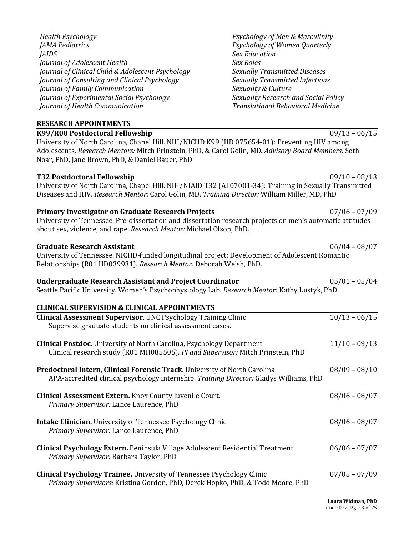| K99/R00 Postdoctoral Fellowship<br>University of North Carolina, Chapel Hill. NIH/NICHD K99 (HD 075654-01): Preventing HIV among<br>Adolescents. Research Mentors: Mitch Prinstein, PhD, & Carol Golin, MD. Advisory Board Members: Seth<br>Noar, PhD, Jane Brown, PhD, & Daniel Bauer, PhD | $09/13 - 06/15$ |
|---------------------------------------------------------------------------------------------------------------------------------------------------------------------------------------------------------------------------------------------------------------------------------------------|-----------------|
| T32 Postdoctoral Fellowship<br>University of North Carolina, Chapel Hill. NIH/NIAID T32 (AI 07001-34): Training in Sexually Transmitted<br>Diseases and HIV. Research Mentor: Carol Golin, MD. Training Director: William Miller, MD, PhD                                                   | $09/10 - 08/13$ |
| <b>Primary Investigator on Graduate Research Projects</b><br>University of Tennessee. Pre-dissertation and dissertation research projects on men's automatic attitudes<br>about sex, violence, and rape. Research Mentor: Michael Olson, PhD.                                               | $07/06 - 07/09$ |
| <b>Graduate Research Assistant</b><br>University of Tennessee. NICHD-funded longitudinal project: Development of Adolescent Romantic<br>Relationships (R01 HD039931). Research Mentor: Deborah Welsh, PhD.                                                                                  | $06/04 - 08/07$ |
| <b>Undergraduate Research Assistant and Project Coordinator</b><br>Seattle Pacific University. Women's Psychophysiology Lab. Research Mentor: Kathy Lustyk, PhD.                                                                                                                            | $05/01 - 05/04$ |
| <b>CLINICAL SUPERVISION &amp; CLINICAL APPOINTMENTS</b><br><b>Clinical Assessment Supervisor. UNC Psychology Training Clinic</b>                                                                                                                                                            | $10/13 - 06/15$ |
| Supervise graduate students on clinical assessment cases.                                                                                                                                                                                                                                   |                 |
| <b>Clinical Postdoc.</b> University of North Carolina, Psychology Department<br>Clinical research study (R01 MH085505). PI and Supervisor: Mitch Prinstein, PhD                                                                                                                             | $11/10 - 09/13$ |
| Predoctoral Intern, Clinical Forensic Track. University of North Carolina<br>APA-accredited clinical psychology internship. Training Director: Gladys Williams, PhD                                                                                                                         | $08/09 - 08/10$ |
| Clinical Assessment Extern. Knox County Juvenile Court.<br>Primary Supervisor: Lance Laurence, PhD                                                                                                                                                                                          | $08/06 - 08/07$ |
| Intake Clinician. University of Tennessee Psychology Clinic<br>Primary Supervisor: Lance Laurence, PhD                                                                                                                                                                                      | $08/06 - 08/07$ |
| Clinical Psychology Extern. Peninsula Village Adolescent Residential Treatment<br>Primary Supervisor: Barbara Taylor, PhD                                                                                                                                                                   | $06/06 - 07/07$ |

*Journal of Health Communication* 

*Journal of Family Communication*

*Journal of Experimental Social Psychology*

Journal of Clinical Child & Adolescent Psychology *Journal of Consulting and Clinical Psychology*

**Psychology of Men & Masculinity** *Psychology of Women Quarterly Sex Education Sex Roles Sexually Transmitted Diseases Sexually Transmitted Infections Sexuality & Culture Sexuality Research and Social Policy Translational Behavioral Medicine*

# **RESEARCH APPOINTMENTS**

*Journal of Adolescent Health*

*Health Psychology JAMA Pediatrics*

*JAIDS*

| emmed Hoocooment buper vibori one royenology truming emme<br>Supervise graduate students on clinical assessment cases.                                              | 19719 UUT.     |
|---------------------------------------------------------------------------------------------------------------------------------------------------------------------|----------------|
| <b>Clinical Postdoc.</b> University of North Carolina, Psychology Department<br>Clinical research study (R01 MH085505). PI and Supervisor: Mitch Prinstein, PhD     | $11/10 - 09/2$ |
| Predoctoral Intern, Clinical Forensic Track. University of North Carolina<br>APA-accredited clinical psychology internship. Training Director: Gladys Williams, PhD | $08/09 - 08/2$ |
| Clinical Assessment Extern. Knox County Juvenile Court.<br>Primary Supervisor: Lance Laurence, PhD                                                                  | $08/06 - 08/0$ |
| <b>Intake Clinician.</b> University of Tennessee Psychology Clinic<br>Primary Supervisor: Lance Laurence, PhD                                                       | $08/06 - 08/0$ |
| <b>Clinical Psychology Extern.</b> Peninsula Village Adolescent Residential Treatment<br>Primary Supervisor: Barbara Taylor, PhD                                    | $06/06 - 07/0$ |

**Clinical Psychology Trainee.** University of Tennessee Psychology Clinic 07/05 - 07/09 *Primary Supervisors: Kristina Gordon, PhD, Derek Hopko, PhD, & Todd Moore, PhD*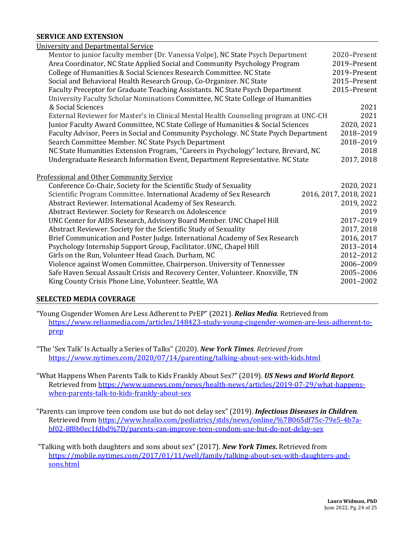## **SERVICE AND EXTENSION**

| University and Departmental Service                                                   |                        |
|---------------------------------------------------------------------------------------|------------------------|
| Mentor to junior faculty member (Dr. Vanessa Volpe), NC State Psych Department        | 2020-Present           |
| Area Coordinator, NC State Applied Social and Community Psychology Program            | 2019-Present           |
| College of Humanities & Social Sciences Research Committee. NC State                  | 2019-Present           |
| Social and Behavioral Health Research Group, Co-Organizer. NC State                   | 2015-Present           |
| Faculty Preceptor for Graduate Teaching Assistants. NC State Psych Department         | 2015-Present           |
| University Faculty Scholar Nominations Committee, NC State College of Humanities      |                        |
| & Social Sciences                                                                     | 2021                   |
| External Reviewer for Master's in Clinical Mental Health Counseling program at UNC-CH | 2021                   |
| Junior Faculty Award Committee, NC State College of Humanities & Social Sciences      | 2020, 2021             |
| Faculty Advisor, Peers in Social and Community Psychology. NC State Psych Department  | 2018-2019              |
| Search Committee Member. NC State Psych Department                                    | 2018-2019              |
| NC State Humanities Extension Program, "Careers in Psychology" lecture, Brevard, NC   | 2018                   |
| Undergraduate Research Information Event, Department Representative. NC State         | 2017, 2018             |
|                                                                                       |                        |
| Professional and Other Community Service                                              |                        |
| Conference Co-Chair, Society for the Scientific Study of Sexuality                    | 2020, 2021             |
| Scientific Program Committee. International Academy of Sex Research                   | 2016, 2017, 2018, 2021 |
| Abstract Reviewer. International Academy of Sex Research.                             | 2019, 2022             |
| Abstract Reviewer. Society for Research on Adolescence                                | 2019                   |
| UNC Center for AIDS Research, Advisory Board Member. UNC Chapel Hill                  | 2017-2019              |
| Abstract Reviewer. Society for the Scientific Study of Sexuality                      | 2017, 2018             |
| Brief Communication and Poster Judge. International Academy of Sex Research           | 2016, 2017             |
| Psychology Internship Support Group, Facilitator. UNC, Chapel Hill                    | 2013-2014              |
| Girls on the Run, Volunteer Head Coach. Durham, NC                                    | 2012-2012              |
| Violence against Women Committee, Chairperson. University of Tennessee                | 2006-2009              |
| Safe Haven Sexual Assault Crisis and Recovery Center, Volunteer. Knoxville, TN        | 2005-2006              |
| King County Crisis Phone Line, Volunteer. Seattle, WA                                 | 2001-2002              |

#### **SELECTED MEDIA COVERAGE**

"Young Cisgender Women Are Less Adherent to PrEP" (2021). *Relias Media*. Retrieved from https://www.reliasmedia.com/articles/148423-study-young-cisgender-women-are-less-adherent-toprep

"The 'Sex Talk' Is Actually a Series of Talks" (2020). *New York Times. Retrieved from* https://www.nytimes.com/2020/07/14/parenting/talking-about-sex-with-kids.html

"What Happens When Parents Talk to Kids Frankly About Sex?" (2019). **US News and World Report**. Retrieved from https://www.usnews.com/news/health-news/articles/2019-07-29/what-happenswhen-parents-talk-to-kids-frankly-about-sex

"Parents can improve teen condom use but do not delay sex" (2019). *Infectious Diseases in Children*. Retrieved from https://www.healio.com/pediatrics/stds/news/online/%7B065df75c-79e5-4b7abf02-8f8b0ec1fdbd%7D/parents-can-improve-teen-condom-use-but-do-not-delay-sex

"Talking with both daughters and sons about sex" (2017). *New York Times*. Retrieved from https://mobile.nytimes.com/2017/01/11/well/family/talking-about-sex-with-daughters-andsons.html